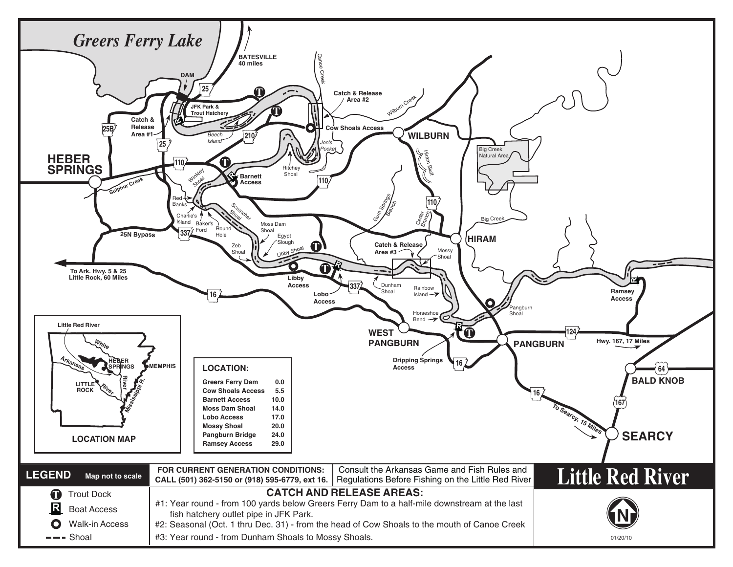